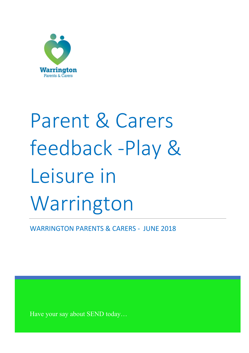

# Parent & Carers feedback -Play & Leisure in Warrington

WARRINGTON PARENTS & CARERS - JUNE 2018

Have your say about SEND today…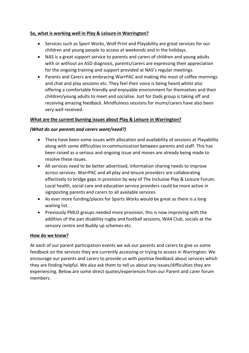## **So, what is working well in Play & Leisure in Warrington?**

- Services such as Sport Works, Wolf Print and Playability are great services for our children and young people to access at weekends and in the holidays.
- NAS is a great support service to parents and carers of children and young adults with or without an ASD diagnosis, parents/carers are expressing their appreciation for the ongoing training and support provided at NAS's regular meetings.
- Parents and Carers are embracing WarrPAC and making the most of coffee mornings and chat and play sessions etc. They feel their voice is being heard whilst also offering a comfortable friendly and enjoyable environment for themselves and their children/young adults to meet and socialise. Just for Dads group is taking off and receiving amazing feedback. Mindfulness sessions for mums/carers have also been very well received.

# **What are the current burning issues about Play & Leisure in Warrington?**

## *(What do our parents and carers want/need?)*

- There have been some issues with allocation and availability of sessions at Playability along with some difficulties in communication between parents and staff. This has been raised as a serious and ongoing issue and moves are already being made to resolve these issues.
- All services need to be better advertised, information sharing needs to improve across services. WarrPAC and all play and leisure providers are collaborating effectively to bridge gaps in provision by way of The Inclusive Play & Leisure Forum. Local health, social care and education service providers could be more active in signposting parents and carers to all available services.
- As ever more funding/places for Sports Works would be great as there is a long waiting list.
- Previously PMLD groups needed more provision, this is now improving with the addition of the pan disability rugby and football sessions, WA4 Club, socials at the sensory centre and Buddy up schemes etc.

## **How do we know?**

At each of our parent participation events we ask our parents and carers to give us some feedback on the services they are currently accessing or trying to access in Warrington. We encourage our parents and carers to provide us with positive feedback about services which they are finding helpful. We also ask them to tell us about any issues/difficulties they are experiencing. Below are some direct quotes/experiences from our Parent and carer forum members.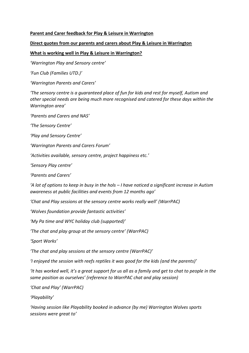#### **Parent and Carer feedback for Play & Leisure in Warrington**

#### **Direct quotes from our parents and carers about Play & Leisure in Warrington**

#### **What is working well in Play & Leisure in Warrington?**

*'Warrington Play and Sensory centre'*

*'Fun Club (Families UTD.)'*

*'Warrington Parents and Carers'*

*'The sensory centre is a quaranteed place of fun for kids and rest for myself, Autism and other special needs are being much more recognised and catered for these days within the Warrington area'*

*'Parents and Carers and NAS'*

*'The Sensory Centre'*

*'Play and Sensory Centre'*

*'Warrington Parents and Carers Forum'*

*'Activities available, sensory centre, project happiness etc.'*

*'Sensory Play centre'*

*'Parents and Carers'*

*'A lot of options to keep in busy in the hols – I have noticed a significant increase in Autism awareness at public facilities and events from 12 months ago'*

*'Chat and Play sessions at the sensory centre works really well' (WarrPAC)*

*'Wolves foundation provide fantastic activities'*

*'My Pa time and WYC holiday club (supported)'*

*'The chat and play group at the sensory centre' (WarrPAC)*

*'Sport Works'*

*'The chat and play sessions at the sensory centre (WarrPAC)'*

*'I enjoyed the session with reefs reptiles it was good for the kids (and the parents)'*

*'It has worked well, it's a great support for us all as a family and get to chat to people in the same position as ourselves' (reference to WarrPAC chat and play session)*

*'Chat and Play' (WarrPAC)*

*'Playability'*

*'Having session like Playability booked in advance (by me) Warrington Wolves sports sessions were great to'*